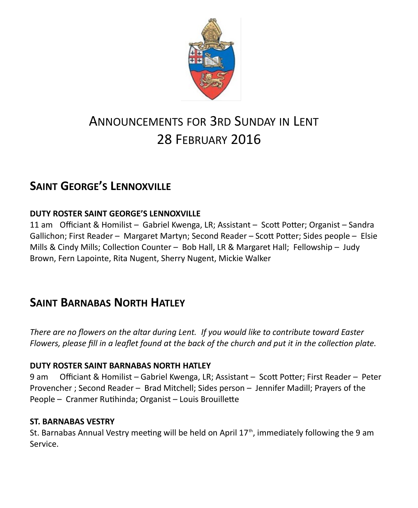

# ANNOUNCEMENTS FOR 3RD SUNDAY IN LENT 28 FEBRUARY 2016

# **SAINT GEORGE'S LENNOXVILLE**

## **DUTY ROSTER SAINT GEORGE'S LENNOXVILLE**

11 am Officiant & Homilist – Gabriel Kwenga, LR; Assistant – Scott Potter; Organist – Sandra Gallichon; First Reader – Margaret Martyn; Second Reader – Scott Potter; Sides people – Elsie Mills & Cindy Mills; Collection Counter – Bob Hall, LR & Margaret Hall; Fellowship – Judy Brown, Fern Lapointe, Rita Nugent, Sherry Nugent, Mickie Walker

# **SAINT BARNABAS NORTH HATLEY**

*There are no flowers on the altar during Lent. If you would like to contribute toward Easter Flowers, please fill in a leaflet found at the back of the church and put it in the collection plate.*

## **DUTY ROSTER SAINT BARNABAS NORTH HATLEY**

9 am Officiant & Homilist – Gabriel Kwenga, LR; Assistant – Scott Potter; First Reader – Peter Provencher ; Second Reader – Brad Mitchell; Sides person – Jennifer Madill; Prayers of the People – Cranmer Rutihinda; Organist – Louis Brouillette

## **ST. BARNABAS VESTRY**

St. Barnabas Annual Vestry meeting will be held on April  $17<sup>th</sup>$ , immediately following the 9 am Service.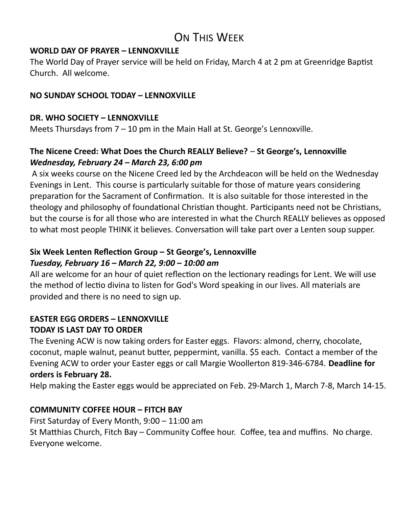# ON THIS WEEK

### **WORLD DAY OF PRAYER – LENNOXVILLE**

The World Day of Prayer service will be held on Friday, March 4 at 2 pm at Greenridge Baptist Church. All welcome.

## **NO SUNDAY SCHOOL TODAY – LENNOXVILLE**

### **DR. WHO SOCIETY – LENNOXVILLE**

Meets Thursdays from 7 – 10 pm in the Main Hall at St. George's Lennoxville.

## **The Nicene Creed: What Does the Church REALLY Believe?** – **St George's, Lennoxville** *Wednesday, February 24 – March 23, 6:00 pm*

A six weeks course on the Nicene Creed led by the Archdeacon will be held on the Wednesday Evenings in Lent. This course is particularly suitable for those of mature years considering preparation for the Sacrament of Confirmation. It is also suitable for those interested in the theology and philosophy of foundational Christian thought. Participants need not be Christians, but the course is for all those who are interested in what the Church REALLY believes as opposed to what most people THINK it believes. Conversation will take part over a Lenten soup supper.

### **Six Week Lenten Reflection Group – St George's, Lennoxville**  *Tuesday, February 16 – March 22, 9:00 – 10:00 am*

All are welcome for an hour of quiet reflection on the lectionary readings for Lent. We will use the method of lectio divina to listen for God's Word speaking in our lives. All materials are provided and there is no need to sign up.

#### **EASTER EGG ORDERS – LENNOXVILLE TODAY IS LAST DAY TO ORDER**

The Evening ACW is now taking orders for Easter eggs. Flavors: almond, cherry, chocolate, coconut, maple walnut, peanut butter, peppermint, vanilla. \$5 each. Contact a member of the Evening ACW to order your Easter eggs or call Margie Woollerton 819-346-6784. **Deadline for orders is February 28.**

Help making the Easter eggs would be appreciated on Feb. 29-March 1, March 7-8, March 14-15.

## **COMMUNITY COFFEE HOUR – FITCH BAY**

First Saturday of Every Month, 9:00 – 11:00 am St Matthias Church, Fitch Bay – Community Coffee hour. Coffee, tea and muffins. No charge. Everyone welcome.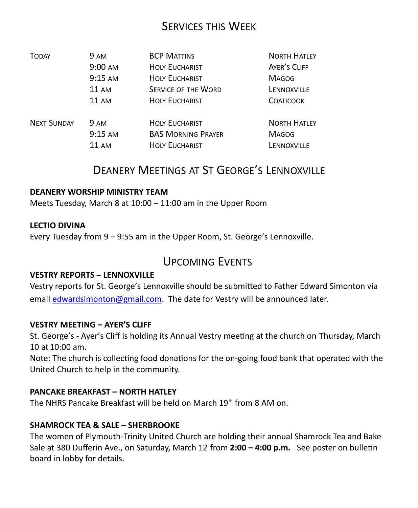## SERVICES THIS WEEK

| <b>TODAY</b>       | 9 AM        | <b>BCP MATTINS</b>         | <b>NORTH HATLEY</b> |
|--------------------|-------------|----------------------------|---------------------|
|                    | 9:00 AM     | <b>HOLY EUCHARIST</b>      | AYER'S CLIFF        |
|                    | $9:15$ AM   | <b>HOLY EUCHARIST</b>      | <b>MAGOG</b>        |
|                    | 11 AM       | <b>SERVICE OF THE WORD</b> | LENNOXVILLE         |
|                    | 11 AM       | <b>HOLY EUCHARIST</b>      | <b>COATICOOK</b>    |
| <b>NEXT SUNDAY</b> | <b>9 AM</b> | <b>HOLY EUCHARIST</b>      | <b>NORTH HATLEY</b> |
|                    | $9:15$ AM   | <b>BAS MORNING PRAYER</b>  | <b>MAGOG</b>        |
|                    | 11 AM       | <b>HOLY EUCHARIST</b>      | LENNOXVILLE         |

## DEANERY MEETINGS AT ST GEORGE'S LENNOXVILLE

### **DEANERY WORSHIP MINISTRY TEAM**

Meets Tuesday, March 8 at 10:00 – 11:00 am in the Upper Room

#### **LECTIO DIVINA**

Every Tuesday from 9 – 9:55 am in the Upper Room, St. George's Lennoxville.

## UPCOMING EVENTS

## **VESTRY REPORTS – LENNOXVILLE**

Vestry reports for St. George's Lennoxville should be submitted to Father Edward Simonton via email [edwardsimonton@gmail.com.](mailto:edwardsimonton@gmail.com) The date for Vestry will be announced later.

#### **VESTRY MEETING – AYER'S CLIFF**

St. George's - Ayer's Cliff is holding its Annual Vestry meeting at the church on Thursday, March 10 at 10:00 am.

Note: The church is collecting food donations for the on-going food bank that operated with the United Church to help in the community.

#### **PANCAKE BREAKFAST – NORTH HATLEY**

The NHRS Pancake Breakfast will be held on March 19<sup>th</sup> from 8 AM on.

#### **SHAMROCK TEA & SALE – SHERBROOKE**

The women of Plymouth-Trinity United Church are holding their annual Shamrock Tea and Bake Sale at 380 Dufferin Ave., on Saturday, March 12 from **2:00 – 4:00 p.m.** See poster on bulletin board in lobby for details.